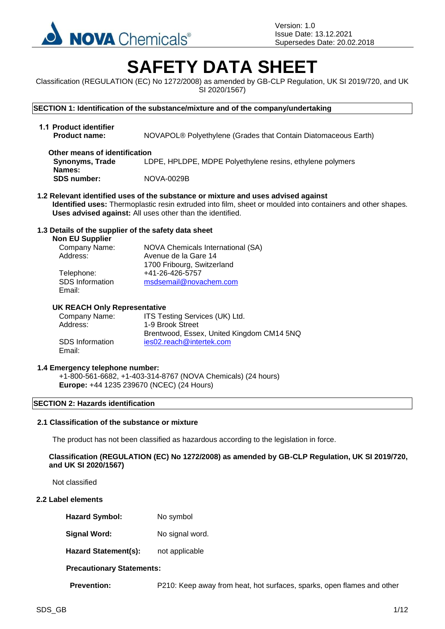

Version: 1.0 Issue Date: 13.12.2021 Supersedes Date: 20.02.2018

# **SAFETY DATA SHEET**

Classification (REGULATION (EC) No 1272/2008) as amended by GB-CLP Regulation, UK SI 2019/720, and UK SI 2020/1567)

**SECTION 1: Identification of the substance/mixture and of the company/undertaking**

**1.1 Product identifier Product name:** NOVAPOL® Polyethylene (Grades that Contain Diatomaceous Earth) **Other means of identification** 

**Synonyms, Trade Names:** LDPE, HPLDPE, MDPE Polyethylene resins, ethylene polymers **SDS number:** NOVA-0029B

**1.2 Relevant identified uses of the substance or mixture and uses advised against Identified uses:** Thermoplastic resin extruded into film, sheet or moulded into containers and other shapes. **Uses advised against:** All uses other than the identified.

#### **1.3 Details of the supplier of the safety data sheet**

#### **Non EU Supplier**

| Company Name:          | NOVA Chemicals International (SA) |
|------------------------|-----------------------------------|
| Address:               | Avenue de la Gare 14              |
|                        | 1700 Fribourg, Switzerland        |
| Telephone:             | +41-26-426-5757                   |
| <b>SDS</b> Information | msdsemail@novachem.com            |
| Email:                 |                                   |

#### **UK REACH Only Representative**

| Company Name:          | ITS Testing Services (UK) Ltd.            |
|------------------------|-------------------------------------------|
| Address:               | 1-9 Brook Street                          |
|                        | Brentwood, Essex, United Kingdom CM14 5NQ |
| <b>SDS</b> Information | ies02.reach@intertek.com                  |
| Email:                 |                                           |

#### **1.4 Emergency telephone number:**

+1-800-561-6682, +1-403-314-8767 (NOVA Chemicals) (24 hours) **Europe:** +44 1235 239670 (NCEC) (24 Hours)

#### **SECTION 2: Hazards identification**

# **2.1 Classification of the substance or mixture**

The product has not been classified as hazardous according to the legislation in force.

**Classification (REGULATION (EC) No 1272/2008) as amended by GB-CLP Regulation, UK SI 2019/720, and UK SI 2020/1567)**

Not classified

#### **2.2 Label elements**

- Hazard Symbol: No symbol
- **Signal Word:** No signal word.

Hazard Statement(s): not applicable

**Precautionary Statements:**

**Prevention:** P210: Keep away from heat, hot surfaces, sparks, open flames and other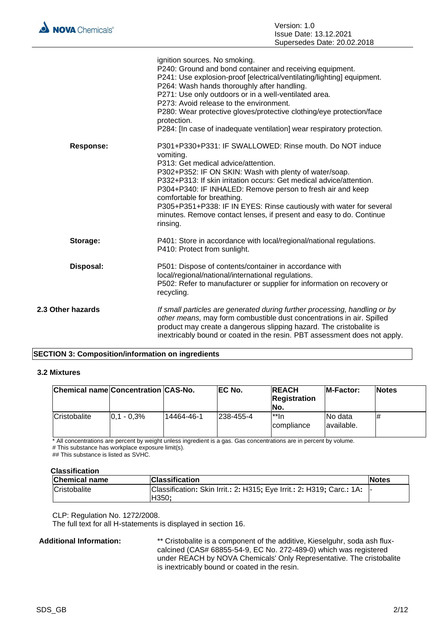|                   | ignition sources. No smoking.<br>P240: Ground and bond container and receiving equipment.<br>P241: Use explosion-proof [electrical/ventilating/lighting] equipment.<br>P264: Wash hands thoroughly after handling.<br>P271: Use only outdoors or in a well-ventilated area.<br>P273: Avoid release to the environment.<br>P280: Wear protective gloves/protective clothing/eye protection/face<br>protection.<br>P284: [In case of inadequate ventilation] wear respiratory protection.             |
|-------------------|-----------------------------------------------------------------------------------------------------------------------------------------------------------------------------------------------------------------------------------------------------------------------------------------------------------------------------------------------------------------------------------------------------------------------------------------------------------------------------------------------------|
| <b>Response:</b>  | P301+P330+P331: IF SWALLOWED: Rinse mouth. Do NOT induce<br>vomiting.<br>P313: Get medical advice/attention.<br>P302+P352: IF ON SKIN: Wash with plenty of water/soap.<br>P332+P313: If skin irritation occurs: Get medical advice/attention.<br>P304+P340: IF INHALED: Remove person to fresh air and keep<br>comfortable for breathing.<br>P305+P351+P338: IF IN EYES: Rinse cautiously with water for several<br>minutes. Remove contact lenses, if present and easy to do. Continue<br>rinsing. |
| Storage:          | P401: Store in accordance with local/regional/national regulations.<br>P410: Protect from sunlight.                                                                                                                                                                                                                                                                                                                                                                                                 |
| Disposal:         | P501: Dispose of contents/container in accordance with<br>local/regional/national/international regulations.<br>P502: Refer to manufacturer or supplier for information on recovery or<br>recycling.                                                                                                                                                                                                                                                                                                |
| 2.3 Other hazards | If small particles are generated during further processing, handling or by<br>other means, may form combustible dust concentrations in air. Spilled<br>product may create a dangerous slipping hazard. The cristobalite is<br>inextricably bound or coated in the resin. PBT assessment does not apply.                                                                                                                                                                                             |

# **SECTION 3: Composition/information on ingredients**

#### **3.2 Mixtures**

| Chemical name Concentration CAS-No. |               |            | <b>IEC No.</b> | <b>IREACH</b><br><b>Registration</b><br>INo. | <b>IM-Factor:</b>      | <b>Notes</b> |
|-------------------------------------|---------------|------------|----------------|----------------------------------------------|------------------------|--------------|
| <b>Cristobalite</b>                 | $0.1 - 0.3\%$ | 14464-46-1 | 1238-455-4     | l**In<br><i>compliance</i>                   | INo data<br>available. |              |

\* All concentrations are percent by weight unless ingredient is a gas. Gas concentrations are in percent by volume. # This substance has workplace exposure limit(s).

## This substance is listed as SVHC.

| <b>Chemical name</b> | <b>Classification</b>                                                          | <b>Notes</b> |
|----------------------|--------------------------------------------------------------------------------|--------------|
| <b>Cristobalite</b>  | Classification: Skin Irrit.: 2: H315; Eye Irrit.: 2: H319; Carc.: 1A:<br>H350: |              |

CLP: Regulation No. 1272/2008.

The full text for all H-statements is displayed in section 16.

**Additional Information:** \*\* Cristobalite is a component of the additive, Kieselguhr, soda ash fluxcalcined (CAS# 68855-54-9, EC No. 272-489-0) which was registered under REACH by NOVA Chemicals' Only Representative. The cristobalite is inextricably bound or coated in the resin.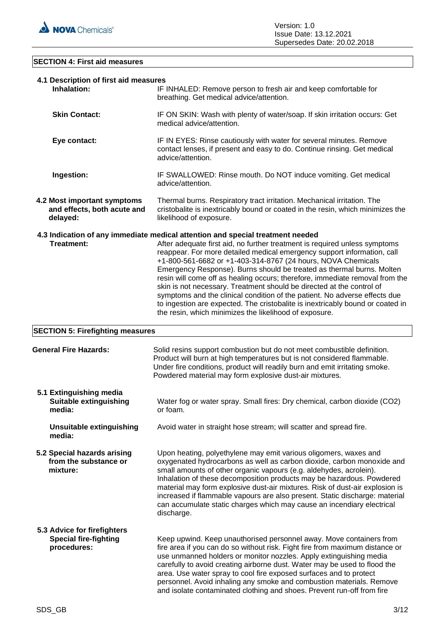

# **SECTION 4: First aid measures**

| 4.1 Description of first aid measures<br>Inhalation:                       | IF INHALED: Remove person to fresh air and keep comfortable for<br>breathing. Get medical advice/attention.                                                                                                                                                                                                                                                                                                                                                                                                                                                                                                                                                                                                                                                         |  |
|----------------------------------------------------------------------------|---------------------------------------------------------------------------------------------------------------------------------------------------------------------------------------------------------------------------------------------------------------------------------------------------------------------------------------------------------------------------------------------------------------------------------------------------------------------------------------------------------------------------------------------------------------------------------------------------------------------------------------------------------------------------------------------------------------------------------------------------------------------|--|
| <b>Skin Contact:</b>                                                       | IF ON SKIN: Wash with plenty of water/soap. If skin irritation occurs: Get<br>medical advice/attention.                                                                                                                                                                                                                                                                                                                                                                                                                                                                                                                                                                                                                                                             |  |
| Eye contact:                                                               | IF IN EYES: Rinse cautiously with water for several minutes. Remove<br>contact lenses, if present and easy to do. Continue rinsing. Get medical<br>advice/attention.                                                                                                                                                                                                                                                                                                                                                                                                                                                                                                                                                                                                |  |
| Ingestion:                                                                 | IF SWALLOWED: Rinse mouth. Do NOT induce vomiting. Get medical<br>advice/attention.                                                                                                                                                                                                                                                                                                                                                                                                                                                                                                                                                                                                                                                                                 |  |
| 4.2 Most important symptoms<br>and effects, both acute and<br>delayed:     | Thermal burns. Respiratory tract irritation. Mechanical irritation. The<br>cristobalite is inextricably bound or coated in the resin, which minimizes the<br>likelihood of exposure.                                                                                                                                                                                                                                                                                                                                                                                                                                                                                                                                                                                |  |
| <b>Treatment:</b>                                                          | 4.3 Indication of any immediate medical attention and special treatment needed<br>After adequate first aid, no further treatment is required unless symptoms<br>reappear. For more detailed medical emergency support information, call<br>+1-800-561-6682 or +1-403-314-8767 (24 hours, NOVA Chemicals<br>Emergency Response). Burns should be treated as thermal burns. Molten<br>resin will come off as healing occurs; therefore, immediate removal from the<br>skin is not necessary. Treatment should be directed at the control of<br>symptoms and the clinical condition of the patient. No adverse effects due<br>to ingestion are expected. The cristobalite is inextricably bound or coated in<br>the resin, which minimizes the likelihood of exposure. |  |
| <b>SECTION 5: Firefighting measures</b>                                    |                                                                                                                                                                                                                                                                                                                                                                                                                                                                                                                                                                                                                                                                                                                                                                     |  |
| <b>General Fire Hazards:</b>                                               | Solid resins support combustion but do not meet combustible definition.<br>Product will burn at high temperatures but is not considered flammable.<br>Under fire conditions, product will readily burn and emit irritating smoke.<br>Powdered material may form explosive dust-air mixtures.                                                                                                                                                                                                                                                                                                                                                                                                                                                                        |  |
| 5.1 Extinguishing media<br><b>Suitable extinguishing</b><br>media:         | Water fog or water spray. Small fires: Dry chemical, carbon dioxide (CO2)<br>or foam.                                                                                                                                                                                                                                                                                                                                                                                                                                                                                                                                                                                                                                                                               |  |
| <b>Unsuitable extinguishing</b><br>media:                                  | Avoid water in straight hose stream; will scatter and spread fire.                                                                                                                                                                                                                                                                                                                                                                                                                                                                                                                                                                                                                                                                                                  |  |
| 5.2 Special hazards arising<br>from the substance or<br>mixture:           | Upon heating, polyethylene may emit various oligomers, waxes and<br>oxygenated hydrocarbons as well as carbon dioxide, carbon monoxide and<br>small amounts of other organic vapours (e.g. aldehydes, acrolein).<br>Inhalation of these decomposition products may be hazardous. Powdered<br>material may form explosive dust-air mixtures. Risk of dust-air explosion is<br>increased if flammable vapours are also present. Static discharge: material<br>can accumulate static charges which may cause an incendiary electrical<br>discharge.                                                                                                                                                                                                                    |  |
| 5.3 Advice for firefighters<br><b>Special fire-fighting</b><br>procedures: | Keep upwind. Keep unauthorised personnel away. Move containers from<br>fire area if you can do so without risk. Fight fire from maximum distance or<br>use unmanned holders or monitor nozzles. Apply extinguishing media<br>carefully to avoid creating airborne dust. Water may be used to flood the<br>area. Use water spray to cool fire exposed surfaces and to protect<br>personnel. Avoid inhaling any smoke and combustion materials. Remove<br>and isolate contaminated clothing and shoes. Prevent run-off from fire                                                                                                                                                                                                                                      |  |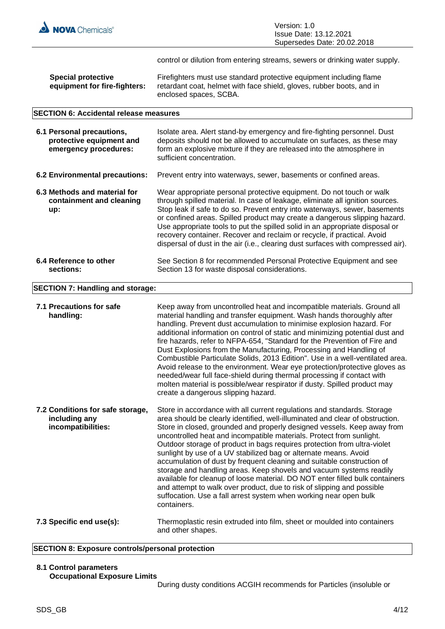

control or dilution from entering streams, sewers or drinking water supply.

| <b>Special protective</b>    | Firefighters must use standard protective equipment including flame   |
|------------------------------|-----------------------------------------------------------------------|
| equipment for fire-fighters: | retardant coat, helmet with face shield, gloves, rubber boots, and in |
|                              | enclosed spaces, SCBA.                                                |

#### **SECTION 6: Accidental release measures**

| 6.1 Personal precautions,<br>protective equipment and<br>emergency procedures: | Isolate area. Alert stand-by emergency and fire-fighting personnel. Dust<br>deposits should not be allowed to accumulate on surfaces, as these may<br>form an explosive mixture if they are released into the atmosphere in<br>sufficient concentration.                                                                                                                                                                                                                                                                                                         |
|--------------------------------------------------------------------------------|------------------------------------------------------------------------------------------------------------------------------------------------------------------------------------------------------------------------------------------------------------------------------------------------------------------------------------------------------------------------------------------------------------------------------------------------------------------------------------------------------------------------------------------------------------------|
| 6.2 Environmental precautions:                                                 | Prevent entry into waterways, sewer, basements or confined areas.                                                                                                                                                                                                                                                                                                                                                                                                                                                                                                |
| 6.3 Methods and material for<br>containment and cleaning<br>up:                | Wear appropriate personal protective equipment. Do not touch or walk<br>through spilled material. In case of leakage, eliminate all ignition sources.<br>Stop leak if safe to do so. Prevent entry into waterways, sewer, basements<br>or confined areas. Spilled product may create a dangerous slipping hazard.<br>Use appropriate tools to put the spilled solid in an appropriate disposal or<br>recovery container. Recover and reclaim or recycle, if practical. Avoid<br>dispersal of dust in the air (i.e., clearing dust surfaces with compressed air). |
| 6.4 Reference to other<br>sections:                                            | See Section 8 for recommended Personal Protective Equipment and see<br>Section 13 for waste disposal considerations.                                                                                                                                                                                                                                                                                                                                                                                                                                             |

#### **SECTION 7: Handling and storage:**

| 7.1 Precautions for safe<br>handling:                                   | Keep away from uncontrolled heat and incompatible materials. Ground all<br>material handling and transfer equipment. Wash hands thoroughly after<br>handling. Prevent dust accumulation to minimise explosion hazard. For<br>additional information on control of static and minimizing potential dust and<br>fire hazards, refer to NFPA-654, "Standard for the Prevention of Fire and<br>Dust Explosions from the Manufacturing, Processing and Handling of<br>Combustible Particulate Solids, 2013 Edition". Use in a well-ventilated area.<br>Avoid release to the environment. Wear eye protection/protective gloves as<br>needed/wear full face-shield during thermal processing if contact with<br>molten material is possible/wear respirator if dusty. Spilled product may<br>create a dangerous slipping hazard.                                 |
|-------------------------------------------------------------------------|------------------------------------------------------------------------------------------------------------------------------------------------------------------------------------------------------------------------------------------------------------------------------------------------------------------------------------------------------------------------------------------------------------------------------------------------------------------------------------------------------------------------------------------------------------------------------------------------------------------------------------------------------------------------------------------------------------------------------------------------------------------------------------------------------------------------------------------------------------|
| 7.2 Conditions for safe storage,<br>including any<br>incompatibilities: | Store in accordance with all current regulations and standards. Storage<br>area should be clearly identified, well-illuminated and clear of obstruction.<br>Store in closed, grounded and properly designed vessels. Keep away from<br>uncontrolled heat and incompatible materials. Protect from sunlight.<br>Outdoor storage of product in bags requires protection from ultra-violet<br>sunlight by use of a UV stabilized bag or alternate means. Avoid<br>accumulation of dust by frequent cleaning and suitable construction of<br>storage and handling areas. Keep shovels and vacuum systems readily<br>available for cleanup of loose material. DO NOT enter filled bulk containers<br>and attempt to walk over product, due to risk of slipping and possible<br>suffocation. Use a fall arrest system when working near open bulk<br>containers. |
| 7.3 Specific end use(s):                                                | Thermoplastic resin extruded into film, sheet or moulded into containers<br>and other shapes.                                                                                                                                                                                                                                                                                                                                                                                                                                                                                                                                                                                                                                                                                                                                                              |

# **SECTION 8: Exposure controls/personal protection**

#### **8.1 Control parameters Occupational Exposure Limits**

During dusty conditions ACGIH recommends for Particles (insoluble or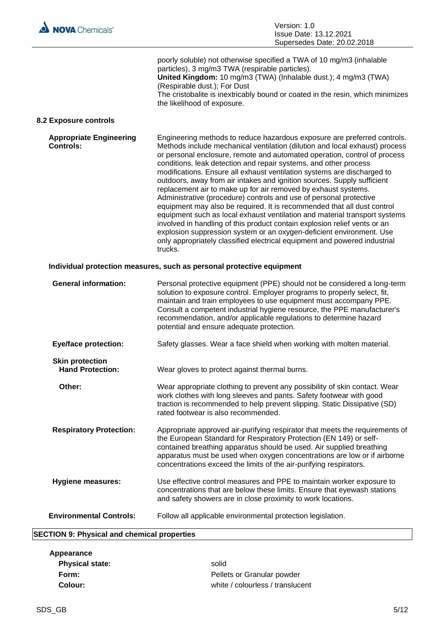

|                                                                       | poorly soluble) not otherwise specified a TWA of 10 mg/m3 (inhalable<br>particles), 3 mg/m3 TWA (respirable particles).<br>United Kingdom: 10 mg/m3 (TWA) (Inhalable dust.); 4 mg/m3 (TWA)<br>(Respirable dust.); For Dust<br>The cristobalite is inextricably bound or coated in the resin, which minimizes<br>the likelihood of exposure.                                                                                                                                                                                                                                                                                                                                                                                                                                                                                                                                                                                                                                                                  |  |
|-----------------------------------------------------------------------|--------------------------------------------------------------------------------------------------------------------------------------------------------------------------------------------------------------------------------------------------------------------------------------------------------------------------------------------------------------------------------------------------------------------------------------------------------------------------------------------------------------------------------------------------------------------------------------------------------------------------------------------------------------------------------------------------------------------------------------------------------------------------------------------------------------------------------------------------------------------------------------------------------------------------------------------------------------------------------------------------------------|--|
| 8.2 Exposure controls                                                 |                                                                                                                                                                                                                                                                                                                                                                                                                                                                                                                                                                                                                                                                                                                                                                                                                                                                                                                                                                                                              |  |
| <b>Appropriate Engineering</b><br><b>Controls:</b>                    | Engineering methods to reduce hazardous exposure are preferred controls.<br>Methods include mechanical ventilation (dilution and local exhaust) process<br>or personal enclosure, remote and automated operation, control of process<br>conditions, leak detection and repair systems, and other process<br>modifications. Ensure all exhaust ventilation systems are discharged to<br>outdoors, away from air intakes and ignition sources. Supply sufficient<br>replacement air to make up for air removed by exhaust systems.<br>Administrative (procedure) controls and use of personal protective<br>equipment may also be required. It is recommended that all dust control<br>equipment such as local exhaust ventilation and material transport systems<br>involved in handling of this product contain explosion relief vents or an<br>explosion suppression system or an oxygen-deficient environment. Use<br>only appropriately classified electrical equipment and powered industrial<br>trucks. |  |
| Individual protection measures, such as personal protective equipment |                                                                                                                                                                                                                                                                                                                                                                                                                                                                                                                                                                                                                                                                                                                                                                                                                                                                                                                                                                                                              |  |
| <b>General information:</b>                                           | Personal protective equipment (PPE) should not be considered a long-term<br>solution to exposure control. Employer programs to properly select, fit,<br>maintain and train employees to use equipment must accompany PPE.<br>Consult a competent industrial hygiene resource, the PPE manufacturer's<br>recommendation, and/or applicable regulations to determine hazard<br>potential and ensure adequate protection.                                                                                                                                                                                                                                                                                                                                                                                                                                                                                                                                                                                       |  |
| <b>Eye/face protection:</b>                                           | Safety glasses. Wear a face shield when working with molten material.                                                                                                                                                                                                                                                                                                                                                                                                                                                                                                                                                                                                                                                                                                                                                                                                                                                                                                                                        |  |
| <b>Skin protection</b><br><b>Hand Protection:</b>                     | Wear gloves to protect against thermal burns.                                                                                                                                                                                                                                                                                                                                                                                                                                                                                                                                                                                                                                                                                                                                                                                                                                                                                                                                                                |  |
| Other:                                                                | Wear appropriate clothing to prevent any possibility of skin contact. Wear<br>work clothes with long sleeves and pants. Safety footwear with good<br>traction is recommended to help prevent slipping. Static Dissipative (SD)<br>rated footwear is also recommended.                                                                                                                                                                                                                                                                                                                                                                                                                                                                                                                                                                                                                                                                                                                                        |  |
| <b>Respiratory Protection:</b>                                        | Appropriate approved air-purifying respirator that meets the requirements of<br>the European Standard for Respiratory Protection (EN 149) or self-<br>contained breathing apparatus should be used. Air supplied breathing<br>apparatus must be used when oxygen concentrations are low or if airborne<br>concentrations exceed the limits of the air-purifying respirators.                                                                                                                                                                                                                                                                                                                                                                                                                                                                                                                                                                                                                                 |  |
| <b>Hygiene measures:</b>                                              | Use effective control measures and PPE to maintain worker exposure to<br>concentrations that are below these limits. Ensure that eyewash stations<br>and safety showers are in close proximity to work locations.                                                                                                                                                                                                                                                                                                                                                                                                                                                                                                                                                                                                                                                                                                                                                                                            |  |
| <b>Environmental Controls:</b>                                        | Follow all applicable environmental protection legislation.                                                                                                                                                                                                                                                                                                                                                                                                                                                                                                                                                                                                                                                                                                                                                                                                                                                                                                                                                  |  |

# **SECTION 9: Physical and chemical properties**

| Appearance             |                                  |
|------------------------|----------------------------------|
| <b>Physical state:</b> | solid                            |
| Form:                  | Pellets or Granular powder       |
| Colour:                | white / colourless / translucent |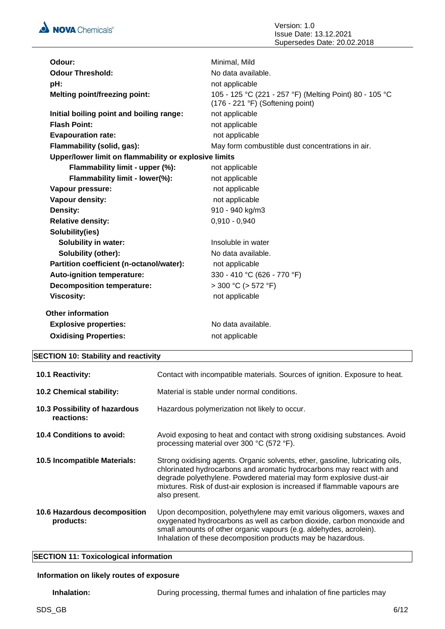

| Odour:                                                | Minimal, Mild                                                                                 |
|-------------------------------------------------------|-----------------------------------------------------------------------------------------------|
| <b>Odour Threshold:</b>                               | No data available.                                                                            |
| pH:                                                   | not applicable                                                                                |
| <b>Melting point/freezing point:</b>                  | 105 - 125 °C (221 - 257 °F) (Melting Point) 80 - 105 °C<br>$(176 - 221$ °F) (Softening point) |
| Initial boiling point and boiling range:              | not applicable                                                                                |
| <b>Flash Point:</b>                                   | not applicable                                                                                |
| <b>Evapouration rate:</b>                             | not applicable                                                                                |
| Flammability (solid, gas):                            | May form combustible dust concentrations in air.                                              |
| Upper/lower limit on flammability or explosive limits |                                                                                               |
| Flammability limit - upper (%):                       | not applicable                                                                                |
| Flammability limit - lower(%):                        | not applicable                                                                                |
| Vapour pressure:                                      | not applicable                                                                                |
| Vapour density:                                       | not applicable                                                                                |
| Density:                                              | 910 - 940 kg/m3                                                                               |
| <b>Relative density:</b>                              | $0,910 - 0,940$                                                                               |
| Solubility(ies)                                       |                                                                                               |
| <b>Solubility in water:</b>                           | Insoluble in water                                                                            |
| <b>Solubility (other):</b>                            | No data available.                                                                            |
| Partition coefficient (n-octanol/water):              | not applicable                                                                                |
| Auto-ignition temperature:                            | 330 - 410 °C (626 - 770 °F)                                                                   |
| <b>Decomposition temperature:</b>                     | $>$ 300 °C ( $>$ 572 °F)                                                                      |
| <b>Viscosity:</b>                                     | not applicable                                                                                |
| <b>Other information</b>                              |                                                                                               |
| <b>Explosive properties:</b>                          | No data available.                                                                            |
| <b>Oxidising Properties:</b>                          | not applicable                                                                                |
|                                                       |                                                                                               |

# **SECTION 10: Stability and reactivity**

| <b>10.1 Reactivity:</b>                     | Contact with incompatible materials. Sources of ignition. Exposure to heat.                                                                                                                                                                                                                                                  |  |
|---------------------------------------------|------------------------------------------------------------------------------------------------------------------------------------------------------------------------------------------------------------------------------------------------------------------------------------------------------------------------------|--|
| <b>10.2 Chemical stability:</b>             | Material is stable under normal conditions.                                                                                                                                                                                                                                                                                  |  |
| 10.3 Possibility of hazardous<br>reactions: | Hazardous polymerization not likely to occur.                                                                                                                                                                                                                                                                                |  |
| 10.4 Conditions to avoid:                   | Avoid exposing to heat and contact with strong oxidising substances. Avoid<br>processing material over 300 °C (572 °F).                                                                                                                                                                                                      |  |
| 10.5 Incompatible Materials:                | Strong oxidising agents. Organic solvents, ether, gasoline, lubricating oils,<br>chlorinated hydrocarbons and aromatic hydrocarbons may react with and<br>degrade polyethylene. Powdered material may form explosive dust-air<br>mixtures. Risk of dust-air explosion is increased if flammable vapours are<br>also present. |  |
| 10.6 Hazardous decomposition<br>products:   | Upon decomposition, polyethylene may emit various oligomers, waxes and<br>oxygenated hydrocarbons as well as carbon dioxide, carbon monoxide and<br>small amounts of other organic vapours (e.g. aldehydes, acrolein).<br>Inhalation of these decomposition products may be hazardous.                                       |  |

# **SECTION 11: Toxicological information**

## **Information on likely routes of exposure**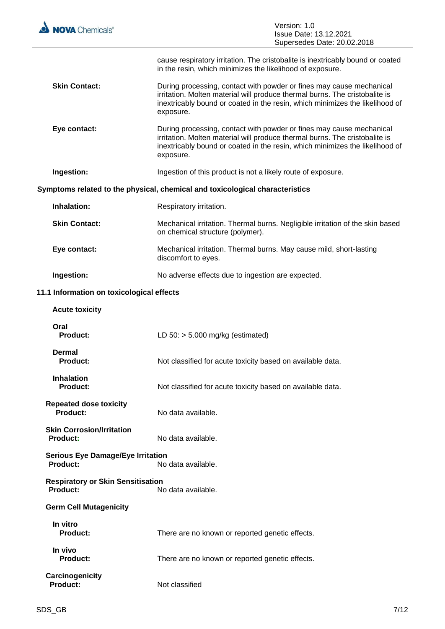

 $\equiv$ 

|                                                             | Supersedes Date: 20.02.2018                                                                                                                                                                                                                      |
|-------------------------------------------------------------|--------------------------------------------------------------------------------------------------------------------------------------------------------------------------------------------------------------------------------------------------|
|                                                             | cause respiratory irritation. The cristobalite is inextricably bound or coated<br>in the resin, which minimizes the likelihood of exposure.                                                                                                      |
| <b>Skin Contact:</b>                                        | During processing, contact with powder or fines may cause mechanical<br>irritation. Molten material will produce thermal burns. The cristobalite is<br>inextricably bound or coated in the resin, which minimizes the likelihood of<br>exposure. |
| Eye contact:                                                | During processing, contact with powder or fines may cause mechanical<br>irritation. Molten material will produce thermal burns. The cristobalite is<br>inextricably bound or coated in the resin, which minimizes the likelihood of<br>exposure. |
| Ingestion:                                                  | Ingestion of this product is not a likely route of exposure.                                                                                                                                                                                     |
|                                                             | Symptoms related to the physical, chemical and toxicological characteristics                                                                                                                                                                     |
| Inhalation:                                                 | Respiratory irritation.                                                                                                                                                                                                                          |
| <b>Skin Contact:</b>                                        | Mechanical irritation. Thermal burns. Negligible irritation of the skin based<br>on chemical structure (polymer).                                                                                                                                |
| Eye contact:                                                | Mechanical irritation. Thermal burns. May cause mild, short-lasting<br>discomfort to eyes.                                                                                                                                                       |
| Ingestion:                                                  | No adverse effects due to ingestion are expected.                                                                                                                                                                                                |
| 11.1 Information on toxicological effects                   |                                                                                                                                                                                                                                                  |
| <b>Acute toxicity</b>                                       |                                                                                                                                                                                                                                                  |
| Oral<br><b>Product:</b>                                     | LD $50:$ > 5.000 mg/kg (estimated)                                                                                                                                                                                                               |
| <b>Dermal</b><br><b>Product:</b>                            | Not classified for acute toxicity based on available data.                                                                                                                                                                                       |
| <b>Inhalation</b><br><b>Product:</b>                        | Not classified for acute toxicity based on available data.                                                                                                                                                                                       |
| <b>Repeated dose toxicity</b><br>Product:                   | No data available.                                                                                                                                                                                                                               |
| <b>Skin Corrosion/Irritation</b><br><b>Product:</b>         | No data available.                                                                                                                                                                                                                               |
| <b>Serious Eye Damage/Eye Irritation</b><br><b>Product:</b> | No data available.                                                                                                                                                                                                                               |
| <b>Respiratory or Skin Sensitisation</b><br>Product:        | No data available.                                                                                                                                                                                                                               |
| <b>Germ Cell Mutagenicity</b>                               |                                                                                                                                                                                                                                                  |
| In vitro<br><b>Product:</b>                                 | There are no known or reported genetic effects.                                                                                                                                                                                                  |
| In vivo<br>Product:                                         | There are no known or reported genetic effects.                                                                                                                                                                                                  |
| Carcinogenicity<br><b>Product:</b>                          | Not classified                                                                                                                                                                                                                                   |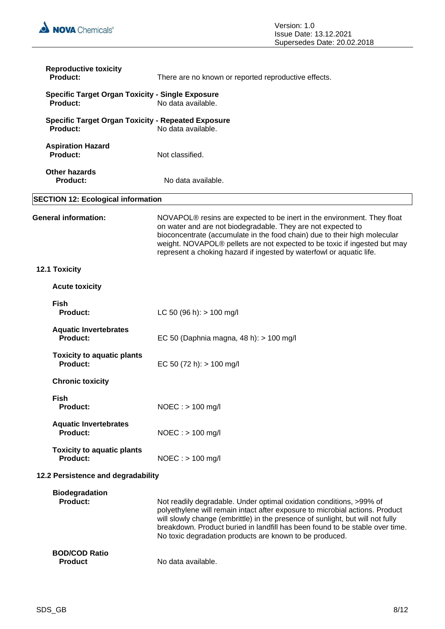

| <b>Reproductive toxicity</b><br>Product:                                   | There are no known or reported reproductive effects.                                                                                                                                                                                                                                                                                                                             |  |
|----------------------------------------------------------------------------|----------------------------------------------------------------------------------------------------------------------------------------------------------------------------------------------------------------------------------------------------------------------------------------------------------------------------------------------------------------------------------|--|
| <b>Specific Target Organ Toxicity - Single Exposure</b><br><b>Product:</b> | No data available.                                                                                                                                                                                                                                                                                                                                                               |  |
| <b>Specific Target Organ Toxicity - Repeated Exposure</b><br>Product:      | No data available.                                                                                                                                                                                                                                                                                                                                                               |  |
| <b>Aspiration Hazard</b><br>Product:                                       | Not classified.                                                                                                                                                                                                                                                                                                                                                                  |  |
| <b>Other hazards</b><br><b>Product:</b>                                    | No data available.                                                                                                                                                                                                                                                                                                                                                               |  |
| <b>SECTION 12: Ecological information</b>                                  |                                                                                                                                                                                                                                                                                                                                                                                  |  |
| <b>General information:</b>                                                | NOVAPOL® resins are expected to be inert in the environment. They float<br>on water and are not biodegradable. They are not expected to<br>bioconcentrate (accumulate in the food chain) due to their high molecular<br>weight. NOVAPOL® pellets are not expected to be toxic if ingested but may<br>represent a choking hazard if ingested by waterfowl or aquatic life.        |  |
| 12.1 Toxicity                                                              |                                                                                                                                                                                                                                                                                                                                                                                  |  |
| <b>Acute toxicity</b>                                                      |                                                                                                                                                                                                                                                                                                                                                                                  |  |
| <b>Fish</b><br><b>Product:</b>                                             | LC 50 (96 h): $> 100$ mg/l                                                                                                                                                                                                                                                                                                                                                       |  |
| <b>Aquatic Invertebrates</b><br>Product:                                   | EC 50 (Daphnia magna, 48 h): > 100 mg/l                                                                                                                                                                                                                                                                                                                                          |  |
| <b>Toxicity to aquatic plants</b><br>Product:                              | EC 50 (72 h): $> 100$ mg/l                                                                                                                                                                                                                                                                                                                                                       |  |
| <b>Chronic toxicity</b>                                                    |                                                                                                                                                                                                                                                                                                                                                                                  |  |
| <b>Fish</b><br><b>Product:</b>                                             | $NOEC :$ > 100 mg/l                                                                                                                                                                                                                                                                                                                                                              |  |
| <b>Aquatic Invertebrates</b><br><b>Product:</b>                            | $NOEC : > 100$ mg/l                                                                                                                                                                                                                                                                                                                                                              |  |
| <b>Toxicity to aquatic plants</b><br>Product:                              | $NOEC :$ > 100 mg/l                                                                                                                                                                                                                                                                                                                                                              |  |
| 12.2 Persistence and degradability                                         |                                                                                                                                                                                                                                                                                                                                                                                  |  |
| <b>Biodegradation</b><br><b>Product:</b>                                   | Not readily degradable. Under optimal oxidation conditions, >99% of<br>polyethylene will remain intact after exposure to microbial actions. Product<br>will slowly change (embrittle) in the presence of sunlight, but will not fully<br>breakdown. Product buried in landfill has been found to be stable over time.<br>No toxic degradation products are known to be produced. |  |
| <b>BOD/COD Ratio</b><br><b>Product</b>                                     | No data available.                                                                                                                                                                                                                                                                                                                                                               |  |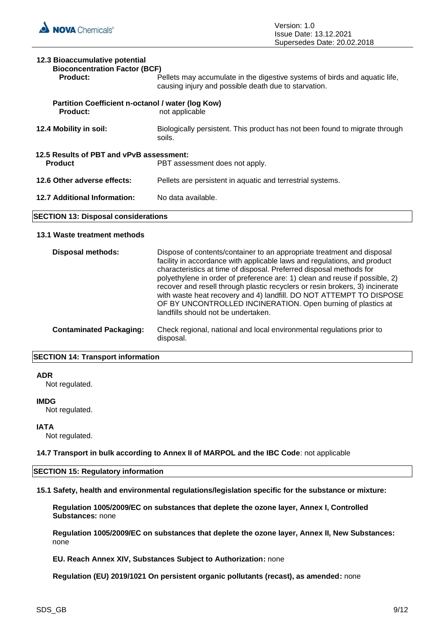| 12.3 Bioaccumulative potential<br><b>Bioconcentration Factor (BCF)</b>                       |                                                                                                                                    |  |
|----------------------------------------------------------------------------------------------|------------------------------------------------------------------------------------------------------------------------------------|--|
| Product:                                                                                     | Pellets may accumulate in the digestive systems of birds and aquatic life,<br>causing injury and possible death due to starvation. |  |
| Partition Coefficient n-octanol / water (log Kow)<br><b>Product:</b>                         | not applicable                                                                                                                     |  |
| 12.4 Mobility in soil:                                                                       | Biologically persistent. This product has not been found to migrate through<br>soils.                                              |  |
| 12.5 Results of PBT and vPvB assessment:<br><b>Product</b><br>PBT assessment does not apply. |                                                                                                                                    |  |
| 12.6 Other adverse effects:                                                                  | Pellets are persistent in aquatic and terrestrial systems.                                                                         |  |
| 12.7 Additional Information:                                                                 | No data available.                                                                                                                 |  |

# **SECTION 13: Disposal considerations**

#### **13.1 Waste treatment methods**

| <b>Disposal methods:</b>       | Dispose of contents/container to an appropriate treatment and disposal<br>facility in accordance with applicable laws and regulations, and product<br>characteristics at time of disposal. Preferred disposal methods for<br>polyethylene in order of preference are: 1) clean and reuse if possible, 2)<br>recover and resell through plastic recyclers or resin brokers, 3) incinerate<br>with waste heat recovery and 4) landfill. DO NOT ATTEMPT TO DISPOSE<br>OF BY UNCONTROLLED INCINERATION. Open burning of plastics at<br>landfills should not be undertaken. |
|--------------------------------|------------------------------------------------------------------------------------------------------------------------------------------------------------------------------------------------------------------------------------------------------------------------------------------------------------------------------------------------------------------------------------------------------------------------------------------------------------------------------------------------------------------------------------------------------------------------|
| <b>Contaminated Packaging:</b> | Check regional, national and local environmental regulations prior to<br>disposal.                                                                                                                                                                                                                                                                                                                                                                                                                                                                                     |

# **SECTION 14: Transport information**

#### **ADR**

Not regulated.

### **IMDG**

Not regulated.

#### **IATA**

Not regulated.

**14.7 Transport in bulk according to Annex II of MARPOL and the IBC Code**: not applicable

#### **SECTION 15: Regulatory information**

**15.1 Safety, health and environmental regulations/legislation specific for the substance or mixture:**

**Regulation 1005/2009/EC on substances that deplete the ozone layer, Annex I, Controlled Substances:** none

**Regulation 1005/2009/EC on substances that deplete the ozone layer, Annex II, New Substances:**  none

**EU. Reach Annex XIV, Substances Subject to Authorization:** none

**Regulation (EU) 2019/1021 On persistent organic pollutants (recast), as amended:** none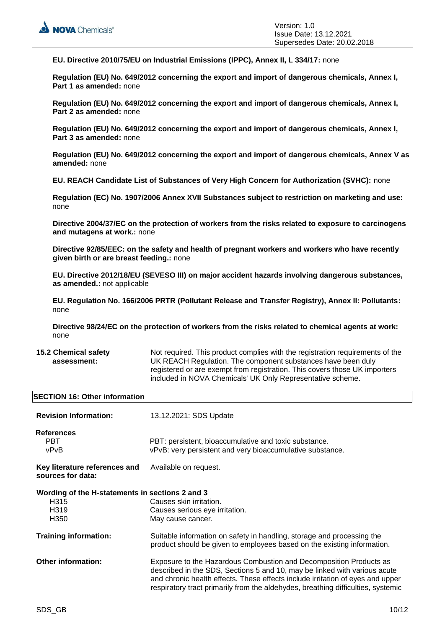**EU. Directive 2010/75/EU on Industrial Emissions (IPPC), Annex II, L 334/17:** none

**Regulation (EU) No. 649/2012 concerning the export and import of dangerous chemicals, Annex I, Part 1 as amended:** none

**Regulation (EU) No. 649/2012 concerning the export and import of dangerous chemicals, Annex I, Part 2 as amended:** none

**Regulation (EU) No. 649/2012 concerning the export and import of dangerous chemicals, Annex I, Part 3 as amended:** none

**Regulation (EU) No. 649/2012 concerning the export and import of dangerous chemicals, Annex V as amended:** none

**EU. REACH Candidate List of Substances of Very High Concern for Authorization (SVHC):** none

**Regulation (EC) No. 1907/2006 Annex XVII Substances subject to restriction on marketing and use:**  none

**Directive 2004/37/EC on the protection of workers from the risks related to exposure to carcinogens and mutagens at work.:** none

**Directive 92/85/EEC: on the safety and health of pregnant workers and workers who have recently given birth or are breast feeding.:** none

**EU. Directive 2012/18/EU (SEVESO III) on major accident hazards involving dangerous substances, as amended.:** not applicable

**EU. Regulation No. 166/2006 PRTR (Pollutant Release and Transfer Registry), Annex II: Pollutants:**  none

**Directive 98/24/EC on the protection of workers from the risks related to chemical agents at work:**  none

#### **15.2 Chemical safety assessment:**

Not required. This product complies with the registration requirements of the UK REACH Regulation. The component substances have been duly registered or are exempt from registration. This covers those UK importers included in NOVA Chemicals' UK Only Representative scheme.

#### **SECTION 16: Other information**

| <b>Revision Information:</b>                                                                                  | 13.12.2021: SDS Update                                                                                                                                                                                                                                                                                                |
|---------------------------------------------------------------------------------------------------------------|-----------------------------------------------------------------------------------------------------------------------------------------------------------------------------------------------------------------------------------------------------------------------------------------------------------------------|
| <b>References</b><br><b>PBT</b><br>vPvB                                                                       | PBT: persistent, bioaccumulative and toxic substance.<br>vPvB: very persistent and very bioaccumulative substance.                                                                                                                                                                                                    |
| Key literature references and<br>sources for data:                                                            | Available on request.                                                                                                                                                                                                                                                                                                 |
| Wording of the H-statements in sections 2 and 3<br>H <sub>3</sub> 15<br>H <sub>3</sub> 19<br>H <sub>350</sub> | Causes skin irritation.<br>Causes serious eye irritation.<br>May cause cancer.                                                                                                                                                                                                                                        |
| <b>Training information:</b>                                                                                  | Suitable information on safety in handling, storage and processing the<br>product should be given to employees based on the existing information.                                                                                                                                                                     |
| <b>Other information:</b>                                                                                     | Exposure to the Hazardous Combustion and Decomposition Products as<br>described in the SDS, Sections 5 and 10, may be linked with various acute<br>and chronic health effects. These effects include irritation of eyes and upper<br>respiratory tract primarily from the aldehydes, breathing difficulties, systemic |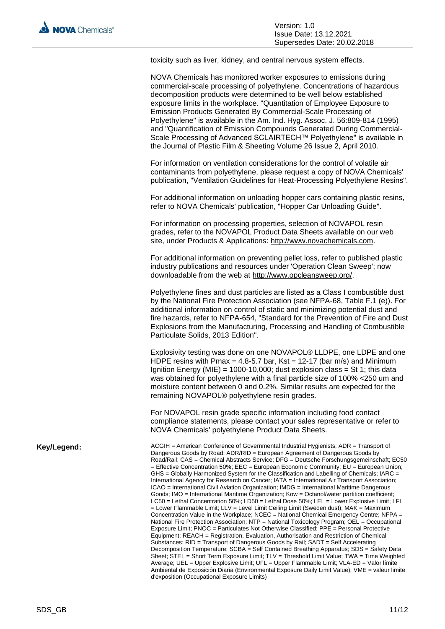toxicity such as liver, kidney, and central nervous system effects.

|             | NOVA Chemicals has monitored worker exposures to emissions during<br>commercial-scale processing of polyethylene. Concentrations of hazardous<br>decomposition products were determined to be well below established<br>exposure limits in the workplace. "Quantitation of Employee Exposure to<br>Emission Products Generated By Commercial-Scale Processing of<br>Polyethylene" is available in the Am. Ind. Hyg. Assoc. J. 56:809-814 (1995)<br>and "Quantification of Emission Compounds Generated During Commercial-<br>Scale Processing of Advanced SCLAIRTECH™ Polyethylene" is available in<br>the Journal of Plastic Film & Sheeting Volume 26 Issue 2, April 2010.                                                                                                                                                                                                                                                                                                                                                                                                                                                                                                                                                                                                                                                                                                                                                                                                                                                                                                                             |
|-------------|----------------------------------------------------------------------------------------------------------------------------------------------------------------------------------------------------------------------------------------------------------------------------------------------------------------------------------------------------------------------------------------------------------------------------------------------------------------------------------------------------------------------------------------------------------------------------------------------------------------------------------------------------------------------------------------------------------------------------------------------------------------------------------------------------------------------------------------------------------------------------------------------------------------------------------------------------------------------------------------------------------------------------------------------------------------------------------------------------------------------------------------------------------------------------------------------------------------------------------------------------------------------------------------------------------------------------------------------------------------------------------------------------------------------------------------------------------------------------------------------------------------------------------------------------------------------------------------------------------|
|             | For information on ventilation considerations for the control of volatile air<br>contaminants from polyethylene, please request a copy of NOVA Chemicals'<br>publication, "Ventilation Guidelines for Heat-Processing Polyethylene Resins".                                                                                                                                                                                                                                                                                                                                                                                                                                                                                                                                                                                                                                                                                                                                                                                                                                                                                                                                                                                                                                                                                                                                                                                                                                                                                                                                                              |
|             | For additional information on unloading hopper cars containing plastic resins,<br>refer to NOVA Chemicals' publication, "Hopper Car Unloading Guide".                                                                                                                                                                                                                                                                                                                                                                                                                                                                                                                                                                                                                                                                                                                                                                                                                                                                                                                                                                                                                                                                                                                                                                                                                                                                                                                                                                                                                                                    |
|             | For information on processing properties, selection of NOVAPOL resin<br>grades, refer to the NOVAPOL Product Data Sheets available on our web<br>site, under Products & Applications: http://www.novachemicals.com.                                                                                                                                                                                                                                                                                                                                                                                                                                                                                                                                                                                                                                                                                                                                                                                                                                                                                                                                                                                                                                                                                                                                                                                                                                                                                                                                                                                      |
|             | For additional information on preventing pellet loss, refer to published plastic<br>industry publications and resources under 'Operation Clean Sweep'; now<br>downloadable from the web at http://www.opcleansweep.org/.                                                                                                                                                                                                                                                                                                                                                                                                                                                                                                                                                                                                                                                                                                                                                                                                                                                                                                                                                                                                                                                                                                                                                                                                                                                                                                                                                                                 |
|             | Polyethylene fines and dust particles are listed as a Class I combustible dust<br>by the National Fire Protection Association (see NFPA-68, Table F.1 (e)). For<br>additional information on control of static and minimizing potential dust and<br>fire hazards, refer to NFPA-654, "Standard for the Prevention of Fire and Dust<br>Explosions from the Manufacturing, Processing and Handling of Combustible<br>Particulate Solids, 2013 Edition".                                                                                                                                                                                                                                                                                                                                                                                                                                                                                                                                                                                                                                                                                                                                                                                                                                                                                                                                                                                                                                                                                                                                                    |
|             | Explosivity testing was done on one NOVAPOL® LLDPE, one LDPE and one<br>HDPE resins with Pmax = 4.8-5.7 bar, Kst = 12-17 (bar m/s) and Minimum<br>Ignition Energy (MIE) = 1000-10,000; dust explosion class = St 1; this data<br>was obtained for polyethylene with a final particle size of 100% <250 um and<br>moisture content between 0 and 0.2%. Similar results are expected for the<br>remaining NOVAPOL® polyethylene resin grades.                                                                                                                                                                                                                                                                                                                                                                                                                                                                                                                                                                                                                                                                                                                                                                                                                                                                                                                                                                                                                                                                                                                                                              |
|             | For NOVAPOL resin grade specific information including food contact<br>compliance statements, please contact your sales representative or refer to<br>NOVA Chemicals' polyethylene Product Data Sheets.                                                                                                                                                                                                                                                                                                                                                                                                                                                                                                                                                                                                                                                                                                                                                                                                                                                                                                                                                                                                                                                                                                                                                                                                                                                                                                                                                                                                  |
| Key/Legend: | ACGIH = American Conference of Governmental Industrial Hygienists; ADR = Transport of<br>Dangerous Goods by Road; ADR/RID = European Agreement of Dangerous Goods by<br>Road/Rail; CAS = Chemical Abstracts Service; DFG = Deutsche Forschungsgemeinschaft; EC50<br>= Effective Concentration 50%; EEC = European Economic Community; EU = European Union;<br>GHS = Globally Harmonized System for the Classification and Labelling of Chemicals; IARC =<br>International Agency for Research on Cancer; IATA = International Air Transport Association;<br>ICAO = International Civil Aviation Organization; IMDG = International Maritime Dangerous<br>Goods; IMO = International Maritime Organization; Kow = Octanol/water partition coefficient;<br>$LC50$ = Lethal Concentration 50%; LD50 = Lethal Dose 50%; LEL = Lower Explosive Limit; LFL<br>= Lower Flammable Limit; LLV = Level Limit Ceiling Limit (Sweden dust); MAK = Maximum<br>Concentration Value in the Workplace; NCEC = National Chemical Emergency Centre; NFPA =<br>National Fire Protection Association; NTP = National Toxicology Program; OEL = Occupational<br>Exposure Limit; PNOC = Particulates Not Otherwise Classified; PPE = Personal Protective<br>Equipment; REACH = Registration, Evaluation, Authorisation and Restriction of Chemical<br>Substances; RID = Transport of Dangerous Goods by Rail; SADT = Self Accelerating<br>Decomposition Temperature; SCBA = Self Contained Breathing Apparatus; SDS = Safety Data<br>Sheet; STEL = Short Term Exposure Limit; TLV = Threshold Limit Value; TWA = Time Weighted |

Ambiental de Exposición Diaria (Environmental Exposure Daily Limit Value); VME = valeur limite

d'exposition (Occupational Exposure Limits)